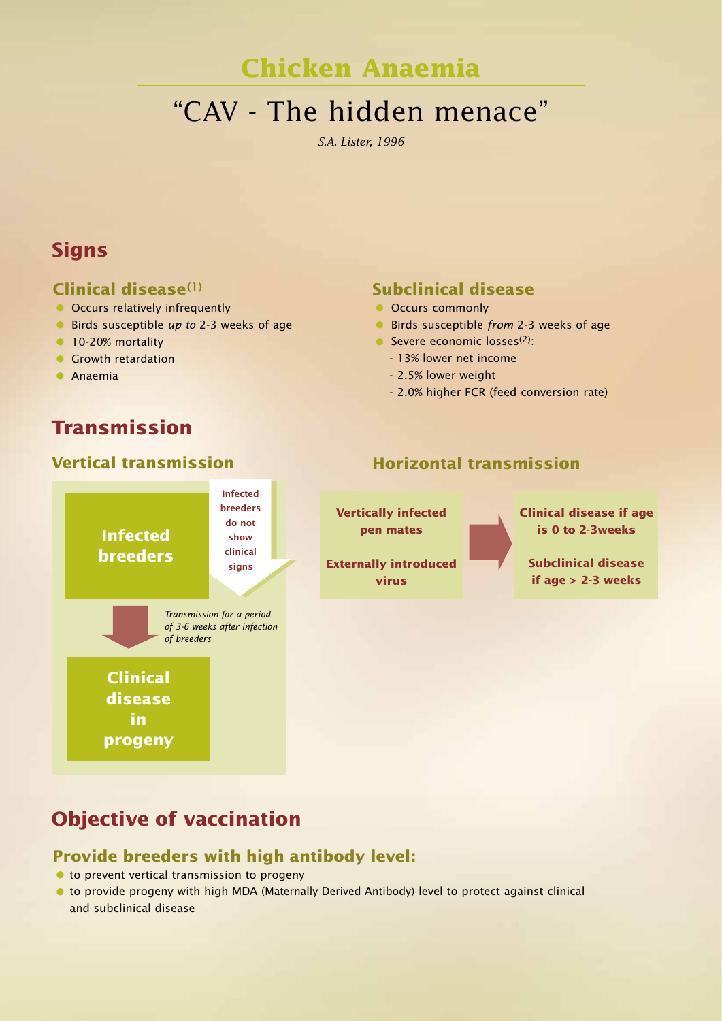# **Chicken Anaemia**

# "CAV - The hidden menace"

*S.A. Lister, 1996*

### **Signs**

### **Clinical disease(1)**

- Occurs relatively infrequently
- Birds susceptible up to 2-3 weeks of age
- 10-20% mortality
- **Growth retardation**
- Anaemia

# **Transmission**

### **Vertical transmission**

**Infected breeders**

**Clinical disease in progeny** 

# Infected<br>
breeders<br>
do not<br>
show<br>
S<br>
clinical<br>
signs **Infected**

Transmission for a period of 3-6 weeks after infection

of breeders

**breeders do not show clinical signs**

### **Subclinical disease**

- Occurs commonly
- **•** Birds susceptible from 2-3 weeks of age
- Severe economic  $losses^{(2)}$ :
	- 13% lower net income
	- 2.5% lower weight
	- 2.0% higher FCR (feed conversion rate)

**Horizontal transmission**

# **Vertically infected**

**pen mates**

**Externally introduced virus**

**Clinical disease if age is 0 to 2-3weeks**

**Subclinical disease if age > 2-3 weeks**

# **Objective of vaccination**

### **Provide breeders with high antibody level:**

- $\bullet$  to prevent vertical transmission to progeny
- $\bullet$  to provide progeny with high MDA (Maternally Derived Antibody) level to protect against clinical and subclinical disease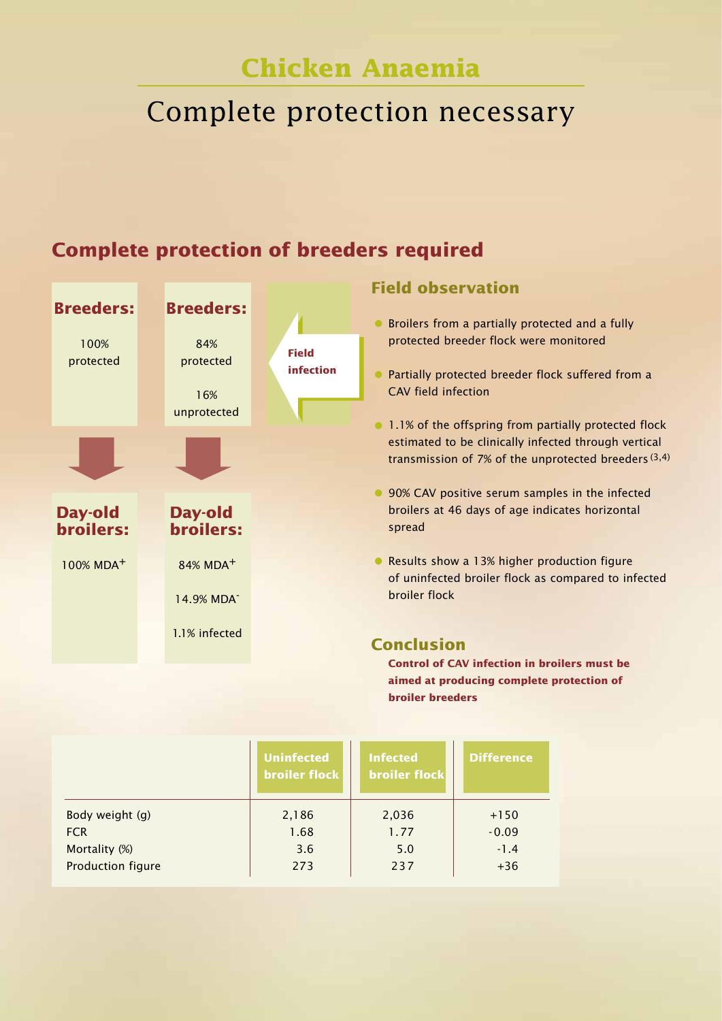# **Chicken Anaemia**

# Complete protection necessary

### **Breeders:** 100% protected **Breeders:** 84% protected 16% unprotected **Day-old broilers:** 100% MDA+ **Day-old broilers:** 84% MDA+ 14.9% MDA-1.1% infected **Field observation** • Broilers from a partially protected and a fully protected breeder flock were monitored • Partially protected breeder flock suffered from a CAV field infection • 1.1% of the offspring from partially protected flock estimated to be clinically infected through vertical transmission of 7% of the unprotected breeders  $(3,4)$ • 90% CAV positive serum samples in the infected broilers at 46 days of age indicates horizontal spread •Results show a 13% higher production figure of uninfected broiler flock as compared to infected broiler flock **Conclusion Control of CAV infection in broilers must be aimed at producing complete protection of broiler breeders Field infection**

|                   | <b>Uninfected</b><br><b>broiler flock</b> | <b>Infected</b><br><b>broiler flock</b> | <b>Difference</b> |
|-------------------|-------------------------------------------|-----------------------------------------|-------------------|
| Body weight (g)   | 2,186                                     | 2,036                                   | $+150$            |
| <b>FCR</b>        | 1.68                                      | 1.77                                    | $-0.09$           |
| Mortality (%)     | 3.6                                       | 5.0                                     | $-1.4$            |
| Production figure | 273                                       | 237                                     | $+36$             |

### **Complete protection of breeders required**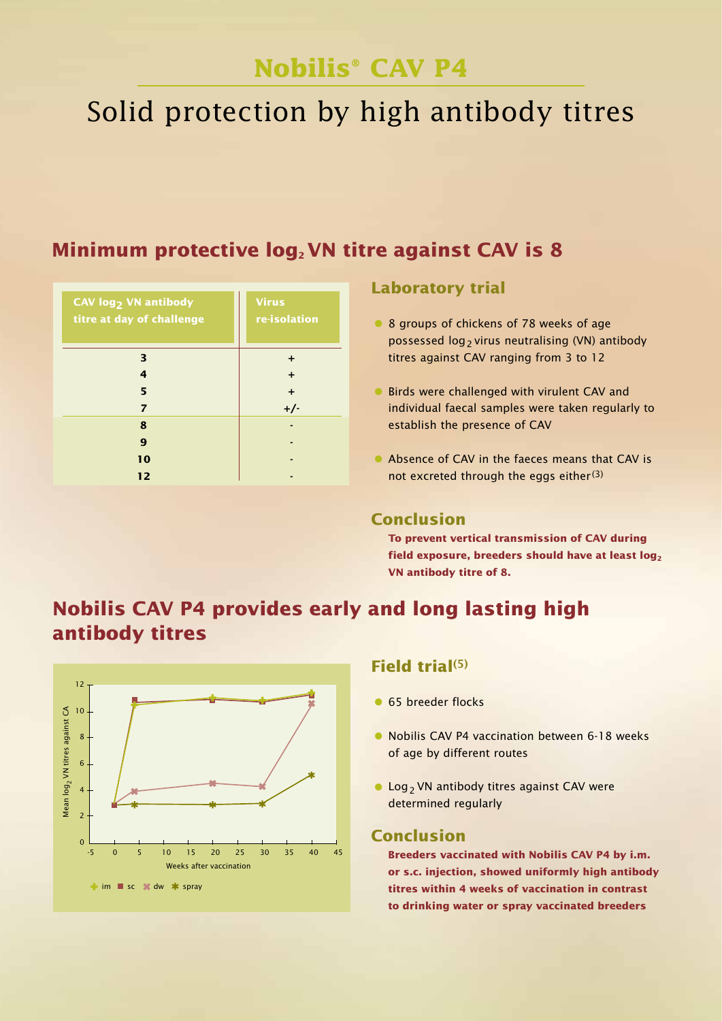# Solid protection by high antibody titres

### **Minimum protective log<sub>2</sub> VN titre against CAV is 8**

| CAV log <sub>2</sub> VN antibody<br>titre at day of challenge | <b>Virus</b><br>re-isolation |  |  |
|---------------------------------------------------------------|------------------------------|--|--|
| 3                                                             | ٠                            |  |  |
| 4                                                             | $\div$                       |  |  |
| 5                                                             | $\ddot{}$                    |  |  |
| $\overline{z}$                                                | $+/-$                        |  |  |
| 8                                                             |                              |  |  |
| 9                                                             |                              |  |  |
| 10                                                            |                              |  |  |
| 12                                                            |                              |  |  |

### **Laboratory trial**

- 8 groups of chickens of 78 weeks of age possessed  $log_2$  virus neutralising (VN) antibody titres against CAV ranging from 3 to 12
- **•** Birds were challenged with virulent CAV and individual faecal samples were taken regularly to establish the presence of CAV
- Absence of CAV in the faeces means that CAV is not excreted through the eggs either $(3)$

### **Conclusion**

**To prevent vertical transmission of CAV during**  field exposure, breeders should have at least log<sub>2</sub> **VN antibody titre of 8.**

### **Nobilis CAV P4 provides early and long lasting high antibody titres**



### **Field trial(5)**

- 65 breeder flocks
- Nobilis CAV P4 vaccination between 6-18 weeks of age by different routes
- Log<sub>2</sub> VN antibody titres against CAV were determined regularly

### **Conclusion**

**Breeders vaccinated with Nobilis CAV P4 by i.m. or s.c. injection, showed uniformly high antibody titres within 4 weeks of vaccination in contrast to drinking water or spray vaccinated breeders**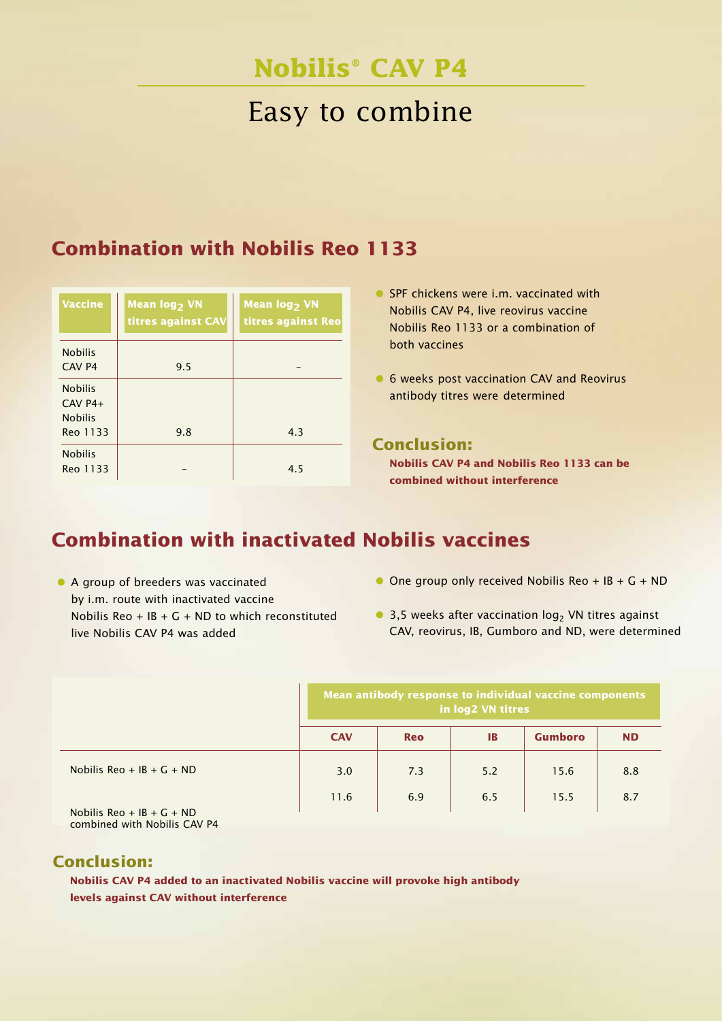# Easy to combine

### **Combination with Nobilis Reo 1133**

| <b>Vaccine</b>                                            | Mean log <sub>2</sub> VN<br>titres against CAV | Mean log <sub>2</sub> VN<br>titres against Reo |  |  |
|-----------------------------------------------------------|------------------------------------------------|------------------------------------------------|--|--|
| <b>Nobilis</b><br>CAV <sub>P4</sub>                       | 9.5                                            |                                                |  |  |
| <b>Nobilis</b><br>$CAV P4+$<br><b>Nobilis</b><br>Reo 1133 | 9.8                                            | 4.3                                            |  |  |
| <b>Nobilis</b><br>Reo 1133                                |                                                | 4.5                                            |  |  |

- SPF chickens were i.m. vaccinated with Nobilis CAV P4, live reovirus vaccine Nobilis Reo 1133 or a combination of both vaccines
- 6 weeks post vaccination CAV and Reovirus antibody titres were determined

### **Conclusion:**

**Nobilis CAV P4 and Nobilis Reo 1133 can be combined without interference**

# **Combination with inactivated Nobilis vaccines**

- A group of breeders was vaccinated by i.m. route with inactivated vaccine Nobilis Reo +  $IB + G + ND$  to which reconstituted live Nobilis CAV P4 was added
- $\bullet$  One group only received Nobilis Reo + IB + G + ND
- 3,5 weeks after vaccination  $log<sub>2</sub>$  VN titres against CAV, reovirus, IB, Gumboro and ND, were determined

|                             | Mean antibody response to individual vaccine components<br>in log2 VN titres |            |     |                |           |
|-----------------------------|------------------------------------------------------------------------------|------------|-----|----------------|-----------|
|                             | <b>CAV</b>                                                                   | <b>Reo</b> | IB  | <b>Gumboro</b> | <b>ND</b> |
| Nobilis Reo + IB + $G$ + ND | 3.0                                                                          | 7.3        | 5.2 | 15.6           | 8.8       |
| Nobilis Reo + IB + $G$ + ND | 11.6                                                                         | 6.9        | 6.5 | 15.5           | 8.7       |

combined with Nobilis CAV P4

### **Conclusion:**

**Nobilis CAV P4 added to an inactivated Nobilis vaccine will provoke high antibody levels against CAV without interference**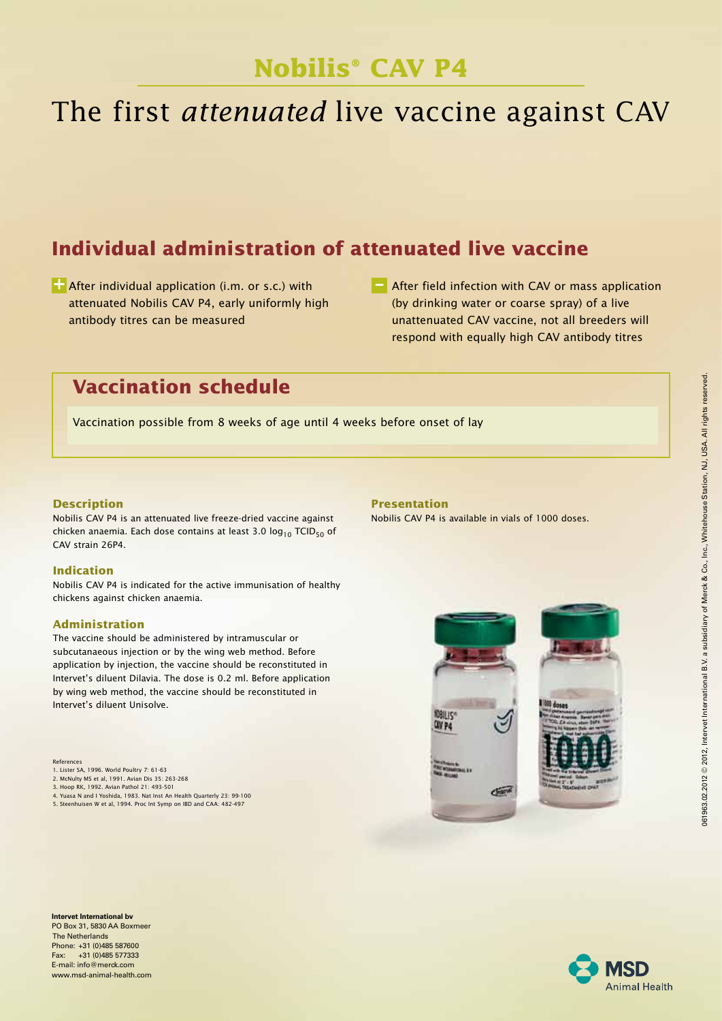# The first *attenuated* live vaccine against CAV

# **Individual administration of attenuated live vaccine**

**+ \_** After individual application (i.m. or s.c.) with attenuated Nobilis CAV P4, early uniformly high antibody titres can be measured

**E** After field infection with CAV or mass application (by drinking water or coarse spray) of a live unattenuated CAV vaccine, not all breeders will respond with equally high CAV antibody titres

### **Vaccination schedule**

Vaccination possible from 8 weeks of age until 4 weeks before onset of lay

### **Description**

Nobilis CAV P4 is an attenuated live freeze-dried vaccine against chicken anaemia. Each dose contains at least 3.0  $log_{10}$  TCID<sub>50</sub> of CAV strain 26P4.

### **Indication**

Nobilis CAV P4 is indicated for the active immunisation of healthy chickens against chicken anaemia.

### **Administration**

The vaccine should be administered by intramuscular or subcutanaeous injection or by the wing web method. Before application by injection, the vaccine should be reconstituted in Intervet's diluent Dilavia. The dose is 0.2 ml. Before application by wing web method, the vaccine should be reconstituted in Intervet's diluent Unisolve.

References

- 1. Lister SA, 1996. World Poultry 7: 61-63
- 2. McNulty MS et al, 1991. Avian Dis 35: 263-268 3. Hoop RK, 1992. Avian Pathol 21: 493-501
- 
- 4. Yuasa N and I Yoshida, 1983. Nat Inst An Health Quarterly 23: 99-100 5. Steenhuisen W et al, 1994. Proc Int Symp on IBD and CAA: 482-497

**Intervet International bv** PO Box 31, 5830 AA Boxmeer The Netherlands Phone: +31 (0)485 587600 Fax: +31 (0)485 577333 E-mail: info@merck.com www.msd-animal-health.com

### **Presentation**

Nobilis CAV P4 is available in vials of 1000 doses.